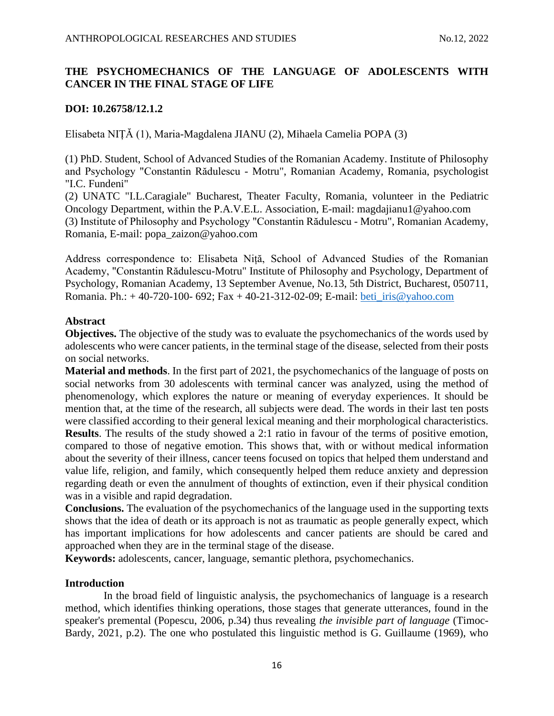# **THE PSYCHOMECHANICS OF THE LANGUAGE OF ADOLESCENTS WITH CANCER IN THE FINAL STAGE OF LIFE**

# **DOI: 10.26758/12.1.2**

Elisabeta NIȚĂ (1), Maria-Magdalena JIANU (2), Mihaela Camelia POPA (3)

(1) PhD. Student, School of Advanced Studies of the Romanian Academy. Institute of Philosophy and Psychology "Constantin Rădulescu - Motru", Romanian Academy, Romania, psychologist "I.C. Fundeni"

(2) UNATC "I.L.Caragiale" Bucharest, Theater Faculty, Romania, volunteer in the Pediatric Oncology Department, within the P.A.V.E.L. Association, E-mail: magdajianu1@yahoo.com (3) Institute of Philosophy and Psychology "Constantin Rădulescu - Motru", Romanian Academy, Romania, E-mail: popa\_zaizon@yahoo.com

Address correspondence to: Elisabeta Niță, School of Advanced Studies of the Romanian Academy, "Constantin Rădulescu-Motru" Institute of Philosophy and Psychology, Department of Psychology, Romanian Academy, 13 September Avenue, No.13, 5th District, Bucharest, 050711, Romania. Ph.: + 40-720-100- 692; Fax + 40-21-312-02-09; E-mail: [beti\\_iris@yahoo.com](beti_iris@yahoo.com)

## **Abstract**

**Objectives.** The objective of the study was to evaluate the psychomechanics of the words used by adolescents who were cancer patients, in the terminal stage of the disease, selected from their posts on social networks.

**Material and methods**. In the first part of 2021, the psychomechanics of the language of posts on social networks from 30 adolescents with terminal cancer was analyzed, using the method of phenomenology, which explores the nature or meaning of everyday experiences. It should be mention that, at the time of the research, all subjects were dead. The words in their last ten posts were classified according to their general lexical meaning and their morphological characteristics. **Results**. The results of the study showed a 2:1 ratio in favour of the terms of positive emotion, compared to those of negative emotion. This shows that, with or without medical information about the severity of their illness, cancer teens focused on topics that helped them understand and value life, religion, and family, which consequently helped them reduce anxiety and depression regarding death or even the annulment of thoughts of extinction, even if their physical condition was in a visible and rapid degradation.

**Conclusions.** The evaluation of the psychomechanics of the language used in the supporting texts shows that the idea of death or its approach is not as traumatic as people generally expect, which has important implications for how adolescents and cancer patients are should be cared and approached when they are in the terminal stage of the disease.

**Keywords:** adolescents, cancer, language, semantic plethora, psychomechanics.

## **Introduction**

In the broad field of linguistic analysis, the psychomechanics of language is a research method, which identifies thinking operations, those stages that generate utterances, found in the speaker's premental (Popescu, 2006, p.34) thus revealing *the invisible part of language* (Timoc-Bardy, 2021, p.2). The one who postulated this linguistic method is G. Guillaume (1969), who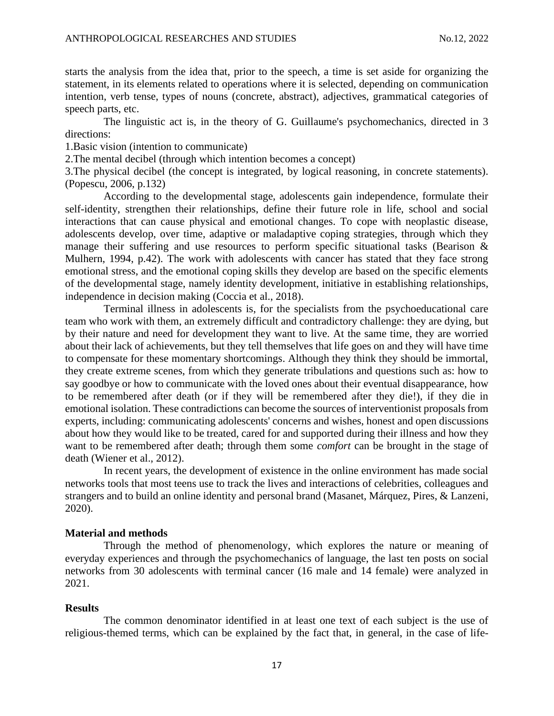starts the analysis from the idea that, prior to the speech, a time is set aside for organizing the statement, in its elements related to operations where it is selected, depending on communication intention, verb tense, types of nouns (concrete, abstract), adjectives, grammatical categories of speech parts, etc.

The linguistic act is, in the theory of G. Guillaume's psychomechanics, directed in 3 directions:

1.Basic vision (intention to communicate)

2.The mental decibel (through which intention becomes a concept)

3.The physical decibel (the concept is integrated, by logical reasoning, in concrete statements). (Popescu, 2006, p.132)

According to the developmental stage, adolescents gain independence, formulate their self-identity, strengthen their relationships, define their future role in life, school and social interactions that can cause physical and emotional changes. To cope with neoplastic disease, adolescents develop, over time, adaptive or maladaptive coping strategies, through which they manage their suffering and use resources to perform specific situational tasks (Bearison & Mulhern, 1994, p.42). The work with adolescents with cancer has stated that they face strong emotional stress, and the emotional coping skills they develop are based on the specific elements of the developmental stage, namely identity development, initiative in establishing relationships, independence in decision making (Coccia et al., 2018).

Terminal illness in adolescents is, for the specialists from the psychoeducational care team who work with them, an extremely difficult and contradictory challenge: they are dying, but by their nature and need for development they want to live. At the same time, they are worried about their lack of achievements, but they tell themselves that life goes on and they will have time to compensate for these momentary shortcomings. Although they think they should be immortal, they create extreme scenes, from which they generate tribulations and questions such as: how to say goodbye or how to communicate with the loved ones about their eventual disappearance, how to be remembered after death (or if they will be remembered after they die!), if they die in emotional isolation. These contradictions can become the sources of interventionist proposals from experts, including: communicating adolescents' concerns and wishes, honest and open discussions about how they would like to be treated, cared for and supported during their illness and how they want to be remembered after death; through them some *comfort* can be brought in the stage of death (Wiener et al., 2012).

In recent years, the development of existence in the online environment has made social networks tools that most teens use to track the lives and interactions of celebrities, colleagues and strangers and to build an online identity and personal brand (Masanet, Márquez, Pires, & Lanzeni, 2020).

## **Material and methods**

Through the method of phenomenology, which explores the nature or meaning of everyday experiences and through the psychomechanics of language, the last ten posts on social networks from 30 adolescents with terminal cancer (16 male and 14 female) were analyzed in 2021.

#### **Results**

The common denominator identified in at least one text of each subject is the use of religious-themed terms, which can be explained by the fact that, in general, in the case of life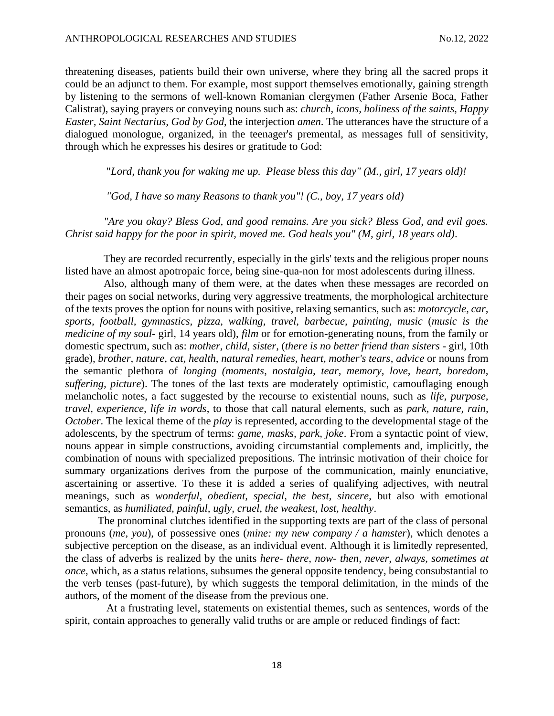threatening diseases, patients build their own universe, where they bring all the sacred props it could be an adjunct to them. For example, most support themselves emotionally, gaining strength by listening to the sermons of well-known Romanian clergymen (Father Arsenie Boca, Father Calistrat), saying prayers or conveying nouns such as: *church, icons, holiness of the saints, Happy Easter, Saint Nectarius, God by God*, the interjection *amen*. The utterances have the structure of a dialogued monologue, organized, in the teenager's premental, as messages full of sensitivity, through which he expresses his desires or gratitude to God:

"*Lord, thank you for waking me up. Please bless this day" (M., girl, 17 years old)!*

*"God, I have so many Reasons to thank you"! (C., boy, 17 years old)*

*"Are you okay? Bless God, and good remains. Are you sick? Bless God, and evil goes. Christ said happy for the poor in spirit, moved me. God heals you" (M, girl, 18 years old)*.

They are recorded recurrently, especially in the girls' texts and the religious proper nouns listed have an almost apotropaic force, being sine-qua-non for most adolescents during illness.

Also, although many of them were, at the dates when these messages are recorded on their pages on social networks, during very aggressive treatments, the morphological architecture of the texts proves the option for nouns with positive, relaxing semantics, such as: *motorcycle, car, sports, football, gymnastics, pizza, walking, travel, barbecue, painting, music* (*music is the medicine of my soul*- girl, 14 years old), *film* or for emotion-generating nouns, from the family or domestic spectrum, such as: *mother, child, sister,* (*there is no better friend than sisters* - girl, 10th grade), *brother, nature, cat, health, natural remedies, heart, mother's tears*, *advice* or nouns from the semantic plethora of *longing (moments*, *nostalgia, tear, memory, love, heart, boredom, suffering, picture*). The tones of the last texts are moderately optimistic, camouflaging enough melancholic notes, a fact suggested by the recourse to existential nouns, such as *life, purpose, travel, experience, life in words*, to those that call natural elements, such as *park, nature, rain, October*. The lexical theme of the *play* is represented, according to the developmental stage of the adolescents, by the spectrum of terms: *game, masks, park, joke*. From a syntactic point of view, nouns appear in simple constructions, avoiding circumstantial complements and, implicitly, the combination of nouns with specialized prepositions. The intrinsic motivation of their choice for summary organizations derives from the purpose of the communication, mainly enunciative, ascertaining or assertive. To these it is added a series of qualifying adjectives, with neutral meanings, such as *wonderful, obedient, special, the best, sincere*, but also with emotional semantics, as *humiliated, painful, ugly, cruel, the weakest, lost, healthy*.

The pronominal clutches identified in the supporting texts are part of the class of personal pronouns (*me, you*), of possessive ones (*mine: my new company / a hamster*), which denotes a subjective perception on the disease, as an individual event. Although it is limitedly represented, the class of adverbs is realized by the units *here- there, now- then, never, always, sometimes at once*, which, as a status relations, subsumes the general opposite tendency, being consubstantial to the verb tenses (past-future), by which suggests the temporal delimitation, in the minds of the authors, of the moment of the disease from the previous one.

At a frustrating level, statements on existential themes, such as sentences, words of the spirit, contain approaches to generally valid truths or are ample or reduced findings of fact: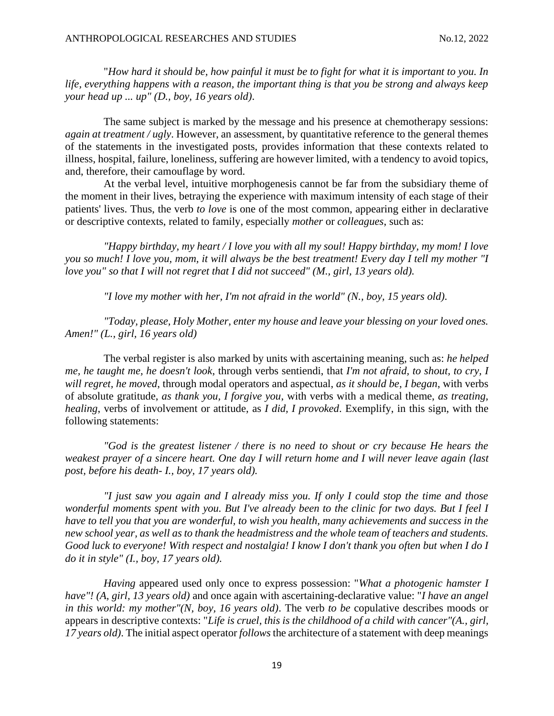"*How hard it should be, how painful it must be to fight for what it is important to you. In life, everything happens with a reason, the important thing is that you be strong and always keep your head up ... up" (D., boy, 16 years old)*.

The same subject is marked by the message and his presence at chemotherapy sessions: *again at treatment / ugly*. However, an assessment, by quantitative reference to the general themes of the statements in the investigated posts, provides information that these contexts related to illness, hospital, failure, loneliness, suffering are however limited, with a tendency to avoid topics, and, therefore, their camouflage by word.

At the verbal level, intuitive morphogenesis cannot be far from the subsidiary theme of the moment in their lives, betraying the experience with maximum intensity of each stage of their patients' lives. Thus, the verb *to love* is one of the most common, appearing either in declarative or descriptive contexts, related to family, especially *mother* or *colleagues*, such as:

*"Happy birthday, my heart / I love you with all my soul! Happy birthday, my mom! I love you so much! I love you, mom, it will always be the best treatment! Every day I tell my mother "I love you" so that I will not regret that I did not succeed" (M., girl, 13 years old).*

*"I love my mother with her, I'm not afraid in the world" (N., boy, 15 years old).*

*"Today, please, Holy Mother, enter my house and leave your blessing on your loved ones. Amen!" (L., girl, 16 years old)*

The verbal register is also marked by units with ascertaining meaning, such as: *he helped me, he taught me, he doesn't look*, through verbs sentiendi, that *I'm not afraid, to shout, to cry, I will regret, he moved*, through modal operators and aspectual, *as it should be, I began*, with verbs of absolute gratitude, *as thank you, I forgive you*, with verbs with a medical theme, *as treating, healing*, verbs of involvement or attitude, as *I did, I provoked*. Exemplify, in this sign, with the following statements:

"God is the greatest listener / there is no need to shout or cry because He hears the *weakest prayer of a sincere heart. One day I will return home and I will never leave again (last post, before his death- I., boy, 17 years old).*

*"I just saw you again and I already miss you. If only I could stop the time and those wonderful moments spent with you. But I've already been to the clinic for two days. But I feel I have to tell you that you are wonderful, to wish you health, many achievements and success in the new school year, as well as to thank the headmistress and the whole team of teachers and students. Good luck to everyone! With respect and nostalgia! I know I don't thank you often but when I do I do it in style" (I., boy, 17 years old).*

*Having* appeared used only once to express possession: "*What a photogenic hamster I have"! (A, girl, 13 years old)* and once again with ascertaining-declarative value: "*I have an angel in this world: my mother"(N, boy, 16 years old)*. The verb *to be* copulative describes moods or appears in descriptive contexts: "*Life is cruel, this is the childhood of a child with cancer"(A., girl, 17 years old)*. The initial aspect operator *follows*the architecture of a statement with deep meanings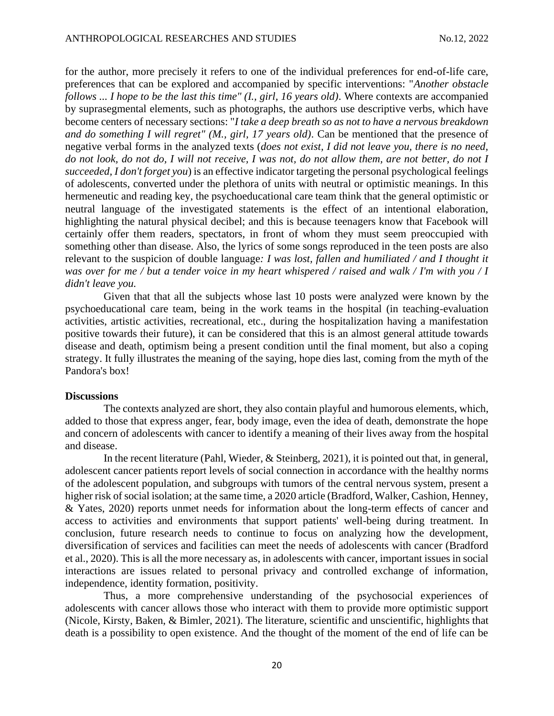for the author, more precisely it refers to one of the individual preferences for end-of-life care, preferences that can be explored and accompanied by specific interventions: "*Another obstacle follows ... I hope to be the last this time" (I., girl, 16 years old)*. Where contexts are accompanied by suprasegmental elements, such as photographs, the authors use descriptive verbs, which have become centers of necessary sections: "*I take a deep breath so as not to have a nervous breakdown and do something I will regret" (M., girl, 17 years old)*. Can be mentioned that the presence of negative verbal forms in the analyzed texts (*does not exist, I did not leave you, there is no need, do not look, do not do, I will not receive, I was not, do not allow them, are not better, do not I succeeded, I don't forget you*) is an effective indicator targeting the personal psychological feelings of adolescents, converted under the plethora of units with neutral or optimistic meanings. In this hermeneutic and reading key, the psychoeducational care team think that the general optimistic or neutral language of the investigated statements is the effect of an intentional elaboration, highlighting the natural physical decibel; and this is because teenagers know that Facebook will certainly offer them readers, spectators, in front of whom they must seem preoccupied with something other than disease. Also, the lyrics of some songs reproduced in the teen posts are also relevant to the suspicion of double language*: I was lost, fallen and humiliated / and I thought it was over for me / but a tender voice in my heart whispered / raised and walk / I'm with you / I didn't leave you.*

Given that that all the subjects whose last 10 posts were analyzed were known by the psychoeducational care team, being in the work teams in the hospital (in teaching-evaluation activities, artistic activities, recreational, etc., during the hospitalization having a manifestation positive towards their future), it can be considered that this is an almost general attitude towards disease and death, optimism being a present condition until the final moment, but also a coping strategy. It fully illustrates the meaning of the saying, hope dies last, coming from the myth of the Pandora's box!

#### **Discussions**

The contexts analyzed are short, they also contain playful and humorous elements, which, added to those that express anger, fear, body image, even the idea of death, demonstrate the hope and concern of adolescents with cancer to identify a meaning of their lives away from the hospital and disease.

 In the recent literature (Pahl, Wieder, & Steinberg, 2021), it is pointed out that, in general, adolescent cancer patients report levels of social connection in accordance with the healthy norms of the adolescent population, and subgroups with tumors of the central nervous system, present a higher risk of social isolation; at the same time, a 2020 article (Bradford, Walker, Cashion, Henney, & Yates, 2020) reports unmet needs for information about the long-term effects of cancer and access to activities and environments that support patients' well-being during treatment. In conclusion, future research needs to continue to focus on analyzing how the development, diversification of services and facilities can meet the needs of adolescents with cancer (Bradford et al., 2020). This is all the more necessary as, in adolescents with cancer, important issues in social interactions are issues related to personal privacy and controlled exchange of information, independence, identity formation, positivity.

Thus, a more comprehensive understanding of the psychosocial experiences of adolescents with cancer allows those who interact with them to provide more optimistic support (Nicole, Kirsty, Baken, & Bimler, 2021). The literature, scientific and unscientific, highlights that death is a possibility to open existence. And the thought of the moment of the end of life can be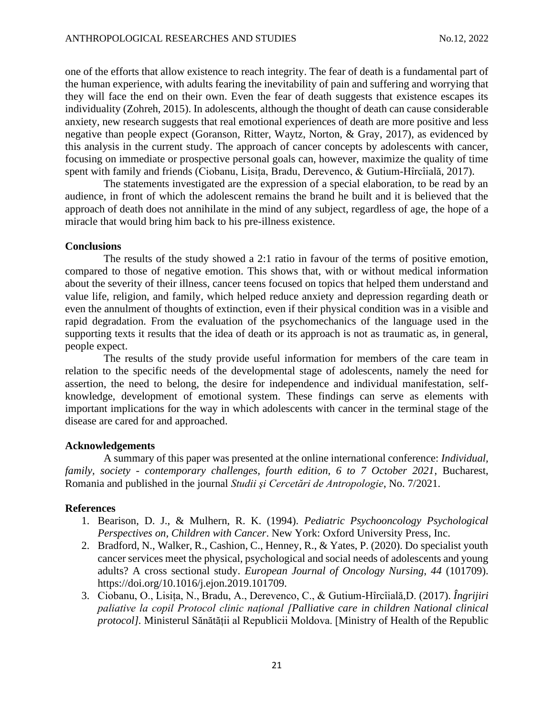one of the efforts that allow existence to reach integrity. The fear of death is a fundamental part of the human experience, with adults fearing the inevitability of pain and suffering and worrying that they will face the end on their own. Even the fear of death suggests that existence escapes its individuality (Zohreh, 2015). In adolescents, although the thought of death can cause considerable anxiety, new research suggests that real emotional experiences of death are more positive and less negative than people expect (Goranson, Ritter, Waytz, Norton, & Gray, 2017), as evidenced by this analysis in the current study. The approach of cancer concepts by adolescents with cancer, focusing on immediate or prospective personal goals can, however, maximize the quality of time spent with family and friends (Ciobanu, Lisița, Bradu, Derevenco, & Gutium-Hîrcîială, 2017).

The statements investigated are the expression of a special elaboration, to be read by an audience, in front of which the adolescent remains the brand he built and it is believed that the approach of death does not annihilate in the mind of any subject, regardless of age, the hope of a miracle that would bring him back to his pre-illness existence.

## **Conclusions**

The results of the study showed a 2:1 ratio in favour of the terms of positive emotion, compared to those of negative emotion. This shows that, with or without medical information about the severity of their illness, cancer teens focused on topics that helped them understand and value life, religion, and family, which helped reduce anxiety and depression regarding death or even the annulment of thoughts of extinction, even if their physical condition was in a visible and rapid degradation. From the evaluation of the psychomechanics of the language used in the supporting texts it results that the idea of death or its approach is not as traumatic as, in general, people expect.

The results of the study provide useful information for members of the care team in relation to the specific needs of the developmental stage of adolescents, namely the need for assertion, the need to belong, the desire for independence and individual manifestation, selfknowledge, development of emotional system. These findings can serve as elements with important implications for the way in which adolescents with cancer in the terminal stage of the disease are cared for and approached.

#### **Acknowledgements**

A summary of this paper was presented at the online international conference: *Individual, family, society - contemporary challenges, fourth edition, 6 to 7 October 2021*, Bucharest, Romania and published in the journal *Studii şi Cercetări de Antropologie*, No. 7/2021.

## **References**

- 1. Bearison, D. J., & Mulhern, R. K. (1994). *Pediatric Psychooncology Psychological Perspectives on, Children with Cancer*. New York: Oxford University Press, Inc.
- 2. Bradford, N., Walker, R., Cashion, C., Henney, R., & Yates, P. (2020). Do specialist youth cancer services meet the physical, psychological and social needs of adolescents and young adults? A cross sectional study. *European Journal of Oncology Nursing*, *44* (101709). https://doi.org/10.1016/j.ejon.2019.101709.
- 3. Ciobanu, O., Lisița, N., Bradu, A., Derevenco, C., & Gutium-Hîrcîială,D. (2017). *Îngrijiri paliative la copil Protocol clinic național [Palliative care in children National clinical protocol].* Ministerul Sănătății al Republicii Moldova. [Ministry of Health of the Republic